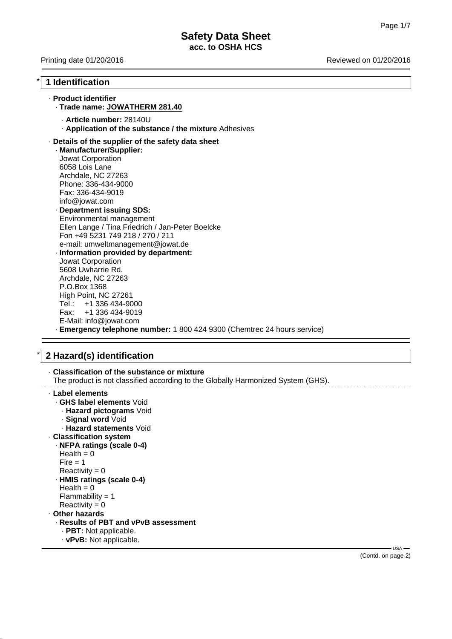# **Safety Data Sheet acc. to OSHA HCS**

Printing date 01/20/2016 **Reviewed on 01/20/2016** Reviewed on 01/20/2016

# \* **1 Identification**

# · **Product identifier**

## · **Trade name: JOWATHERM 281.40**

- · **Article number:** 28140U
- · **Application of the substance / the mixture** Adhesives

#### · **Details of the supplier of the safety data sheet**

· **Manufacturer/Supplier:** Jowat Corporation 6058 Lois Lane Archdale, NC 27263 Phone: 336-434-9000 Fax: 336-434-9019 info@jowat.com

· **Department issuing SDS:** Environmental management Ellen Lange / Tina Friedrich / Jan-Peter Boelcke Fon +49 5231 749 218 / 270 / 211 e-mail: umweltmanagement@jowat.de

· **Information provided by department:** Jowat Corporation 5608 Uwharrie Rd. Archdale, NC 27263 P.O.Box 1368 High Point, NC 27261 Tel.: +1 336 434-9000<br>Fax: +1 336 434-9019 +1 336 434-9019 E-Mail: info@jowat.com · **Emergency telephone number:** 1 800 424 9300 (Chemtrec 24 hours service)

## \* **2 Hazard(s) identification**

| The product is not classified according to the Globally Harmonized System (GHS). |      |
|----------------------------------------------------------------------------------|------|
| Label elements                                                                   |      |
| <b>GHS label elements Void</b>                                                   |      |
| - Hazard pictograms Void                                                         |      |
| · Signal word Void                                                               |      |
| ⋅ Hazard statements Void                                                         |      |
| <b>Classification system</b>                                                     |      |
| · NFPA ratings (scale 0-4)                                                       |      |
| Health $= 0$                                                                     |      |
| Fire $= 1$                                                                       |      |
| Reactivity = $0$                                                                 |      |
| · HMIS ratings (scale 0-4)                                                       |      |
| Health = $0$                                                                     |      |
| Flammability = $1$                                                               |      |
| Reactivity = $0$                                                                 |      |
| Other hazards                                                                    |      |
| · Results of PBT and vPvB assessment                                             |      |
| $\cdot$ PBT: Not applicable.                                                     |      |
|                                                                                  |      |
| · vPvB: Not applicable.                                                          | USA- |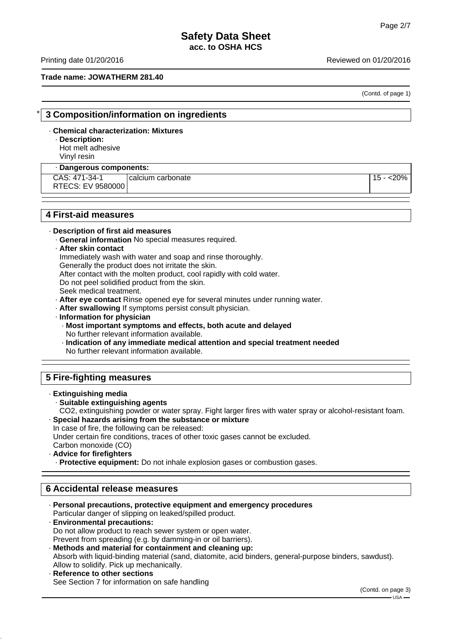Printing date 01/20/2016 **Reviewed on 01/20/2016** 

## **Trade name: JOWATHERM 281.40**

(Contd. of page 1)

## \* **3 Composition/information on ingredients**

## · **Chemical characterization: Mixtures**

# · **Description:**

Hot melt adhesive

Vinyl resin

## · **Dangerous components:**

CAS: 471-34-1 RTECS: EV 9580000

calcium carbonate 15 - <20%

# **4 First-aid measures**

#### · **Description of first aid measures**

- · **General information** No special measures required.
- · **After skin contact**

Immediately wash with water and soap and rinse thoroughly.

After contact with the molten product, cool rapidly with cold water.

Do not peel solidified product from the skin.

Generally the product does not irritate the skin.

Seek medical treatment.

· **After eye contact** Rinse opened eye for several minutes under running water.

- · **After swallowing** If symptoms persist consult physician.
- · **Information for physician**
	- · **Most important symptoms and effects, both acute and delayed** No further relevant information available.
	- · **Indication of any immediate medical attention and special treatment needed** No further relevant information available.

# **5 Fire-fighting measures**

## · **Extinguishing media**

## · **Suitable extinguishing agents**

CO2, extinguishing powder or water spray. Fight larger fires with water spray or alcohol-resistant foam. · **Special hazards arising from the substance or mixture**

In case of fire, the following can be released:

Under certain fire conditions, traces of other toxic gases cannot be excluded.

Carbon monoxide (CO)

## · **Advice for firefighters**

· **Protective equipment:** Do not inhale explosion gases or combustion gases.

## **6 Accidental release measures**

- · **Personal precautions, protective equipment and emergency procedures** Particular danger of slipping on leaked/spilled product.
- · **Environmental precautions:** Do not allow product to reach sewer system or open water. Prevent from spreading (e.g. by damming-in or oil barriers).
- · **Methods and material for containment and cleaning up:** Absorb with liquid-binding material (sand, diatomite, acid binders, general-purpose binders, sawdust). Allow to solidify. Pick up mechanically.
- **Reference to other sections** See Section 7 for information on safe handling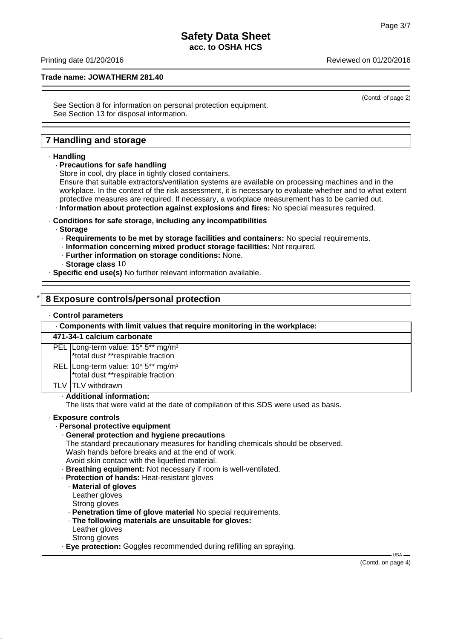# **Safety Data Sheet acc. to OSHA HCS**

## **Trade name: JOWATHERM 281.40**

(Contd. of page 2)

See Section 8 for information on personal protection equipment. See Section 13 for disposal information.

# **7 Handling and storage**

#### · **Handling**

### · **Precautions for safe handling**

Store in cool, dry place in tightly closed containers.

Ensure that suitable extractors/ventilation systems are available on processing machines and in the workplace. In the context of the risk assessment, it is necessary to evaluate whether and to what extent protective measures are required. If necessary, a workplace measurement has to be carried out. · **Information about protection against explosions and fires:** No special measures required.

· **Conditions for safe storage, including any incompatibilities**

#### · **Storage**

- · **Requirements to be met by storage facilities and containers:** No special requirements.
- · **Information concerning mixed product storage facilities:** Not required.
- · **Further information on storage conditions:** None.
- · **Storage class** 10

· **Specific end use(s)** No further relevant information available.

## \* **8 Exposure controls/personal protection**

#### · **Control parameters**

· **Components with limit values that require monitoring in the workplace:**

## **471-34-1 calcium carbonate**

PEL Long-term value: 15<sup>\*</sup> 5<sup>\*\*</sup> mg/m<sup>3</sup>

\*total dust \*\*respirable fraction

- REL Long-term value: 10<sup>\*</sup> 5<sup>\*\*</sup> mg/m<sup>3</sup>
	- \*total dust \*\*respirable fraction

TLV TLV withdrawn

#### · **Additional information:**

The lists that were valid at the date of compilation of this SDS were used as basis.

#### · **Exposure controls**

#### · **Personal protective equipment**

#### · **General protection and hygiene precautions**

The standard precautionary measures for handling chemicals should be observed. Wash hands before breaks and at the end of work.

- Avoid skin contact with the liquefied material.
- · **Breathing equipment:** Not necessary if room is well-ventilated.

## · **Protection of hands:** Heat-resistant gloves

#### · **Material of gloves**

Leather gloves

- Strong gloves
- · **Penetration time of glove material** No special requirements.
- · **The following materials are unsuitable for gloves:**
- Leather gloves
- Strong gloves
- · **Eye protection:** Goggles recommended during refilling an spraying.

(Contd. on page 4)

 $-11S_A$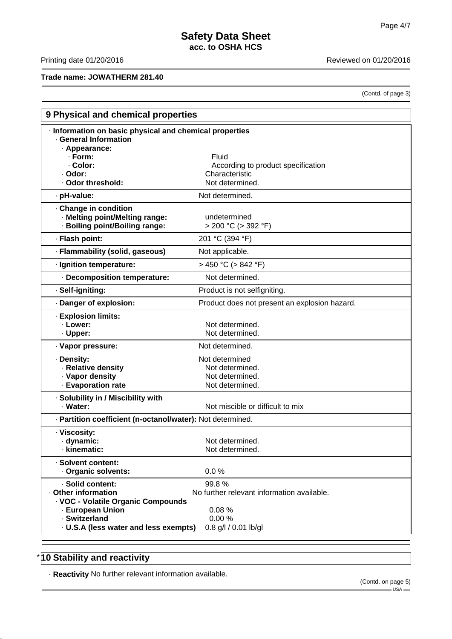# **Trade name: JOWATHERM 281.40**

Printing date 01/20/2016 **Reviewed on 01/20/2016** 

(Contd. of page 3)

| 9 Physical and chemical properties                                                      |                                               |  |
|-----------------------------------------------------------------------------------------|-----------------------------------------------|--|
| Information on basic physical and chemical properties<br>· General Information          |                                               |  |
| · Appearance:<br>· Form:                                                                | Fluid                                         |  |
| · Color:                                                                                | According to product specification            |  |
| · Odor:                                                                                 | Characteristic                                |  |
| · Odor threshold:                                                                       | Not determined.                               |  |
| · pH-value:                                                                             | Not determined.                               |  |
| Change in condition<br>· Melting point/Melting range:<br>· Boiling point/Boiling range: | undetermined<br>$> 200 °C$ ( $> 392 °F$ )     |  |
| · Flash point:                                                                          | 201 °C (394 °F)                               |  |
| · Flammability (solid, gaseous)                                                         | Not applicable.                               |  |
| · Ignition temperature:                                                                 | $>$ 450 °C ( $>$ 842 °F)                      |  |
| - Decomposition temperature:                                                            | Not determined.                               |  |
| · Self-igniting:                                                                        | Product is not selfigniting.                  |  |
| Danger of explosion:                                                                    | Product does not present an explosion hazard. |  |
| · Explosion limits:                                                                     |                                               |  |
| · Lower:                                                                                | Not determined.                               |  |
| · Upper:                                                                                | Not determined.                               |  |
| · Vapor pressure:                                                                       | Not determined.                               |  |
| · Density:                                                                              | Not determined                                |  |
| · Relative density<br>· Vapor density                                                   | Not determined.<br>Not determined.            |  |
| · Evaporation rate                                                                      | Not determined.                               |  |
| · Solubility in / Miscibility with                                                      |                                               |  |
| · Water:                                                                                | Not miscible or difficult to mix              |  |
| · Partition coefficient (n-octanol/water): Not determined.                              |                                               |  |
| · Viscosity:                                                                            |                                               |  |
| · dynamic:                                                                              | Not determined.                               |  |
| kinematic:                                                                              | Not determined.                               |  |
| · Solvent content:                                                                      |                                               |  |
| Organic solvents:                                                                       | 0.0%                                          |  |
| · Solid content:                                                                        | 99.8%                                         |  |
| Other information<br>· VOC - Volatile Organic Compounds                                 | No further relevant information available.    |  |
| - European Union                                                                        | 0.08%                                         |  |
| · Switzerland                                                                           | 0.00%                                         |  |
| · U.S.A (less water and less exempts)                                                   | 0.8 g/l / 0.01 lb/gl                          |  |

# \* **10 Stability and reactivity**

· **Reactivity** No further relevant information available.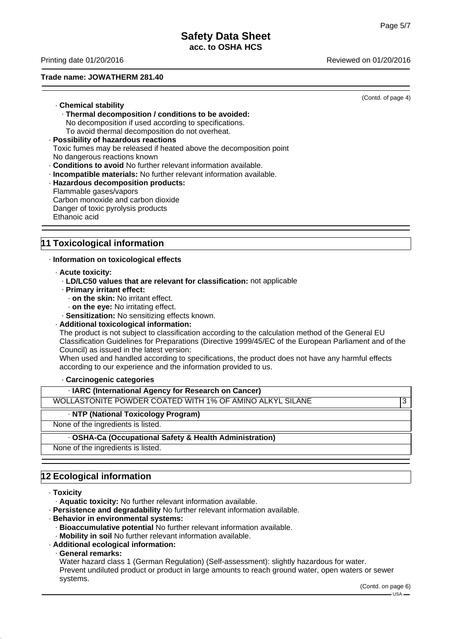Printing date 01/20/2016 Reviewed on 01/20/2016

## **Trade name: JOWATHERM 281.40**

(Contd. of page 4)

- · **Chemical stability** · **Thermal decomposition / conditions to be avoided:** No decomposition if used according to specifications. To avoid thermal decomposition do not overheat.
- · **Possibility of hazardous reactions** Toxic fumes may be released if heated above the decomposition point No dangerous reactions known
- · **Conditions to avoid** No further relevant information available.
- · **Incompatible materials:** No further relevant information available.
- · **Hazardous decomposition products:** Flammable gases/vapors
- Carbon monoxide and carbon dioxide Danger of toxic pyrolysis products Ethanoic acid

# **11 Toxicological information**

· **Information on toxicological effects**

- · **Acute toxicity:**
	- · **LD/LC50 values that are relevant for classification:** not applicable
	- · **Primary irritant effect:**
		- · **on the skin:** No irritant effect.
		- · **on the eye:** No irritating effect.

· **Sensitization:** No sensitizing effects known.

· **Additional toxicological information:**

The product is not subject to classification according to the calculation method of the General EU Classification Guidelines for Preparations (Directive 1999/45/EC of the European Parliament and of the Council) as issued in the latest version:

When used and handled according to specifications, the product does not have any harmful effects according to our experience and the information provided to us.

## · **Carcinogenic categories**

· **IARC (International Agency for Research on Cancer)**

WOLLASTONITE POWDER COATED WITH 1% OF AMINO ALKYL SILANE  $\vert$ 3

## · **NTP (National Toxicology Program)**

None of the ingredients is listed.

## · **OSHA-Ca (Occupational Safety & Health Administration)**

None of the ingredients is listed.

# **12 Ecological information**

· **Toxicity**

· **Aquatic toxicity:** No further relevant information available.

- · **Persistence and degradability** No further relevant information available.
- · **Behavior in environmental systems:**
- · **Bioaccumulative potential** No further relevant information available.
- · **Mobility in soil** No further relevant information available.
- · **Additional ecological information:**
- · **General remarks:**

Water hazard class 1 (German Regulation) (Self-assessment): slightly hazardous for water. Prevent undiluted product or product in large amounts to reach ground water, open waters or sewer systems.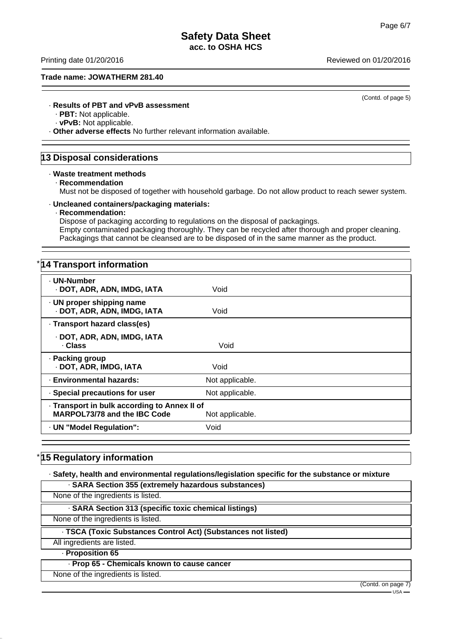Printing date 01/20/2016 **Reviewed on 01/20/2016** Reviewed on 01/20/2016

## **Trade name: JOWATHERM 281.40**

(Contd. of page 5)

# · **Results of PBT and vPvB assessment**

· **PBT:** Not applicable.

· **vPvB:** Not applicable.

· **Other adverse effects** No further relevant information available.

# **13 Disposal considerations**

#### · **Waste treatment methods**

· **Recommendation**

Must not be disposed of together with household garbage. Do not allow product to reach sewer system.

#### · **Uncleaned containers/packaging materials:**

## · **Recommendation:**

Dispose of packaging according to regulations on the disposal of packagings. Empty contaminated packaging thoroughly. They can be recycled after thorough and proper cleaning. Packagings that cannot be cleansed are to be disposed of in the same manner as the product.

# \* **14 Transport information**

| · UN-Number<br>· DOT, ADR, ADN, IMDG, IATA<br>Void<br>. UN proper shipping name<br>· DOT, ADR, ADN, IMDG, IATA<br>Void<br>· Transport hazard class(es)<br>· DOT, ADR, ADN, IMDG, IATA<br>· Class<br>Void<br>· Packing group<br>· DOT, ADR, IMDG, IATA<br>Void<br>· Environmental hazards:<br>Not applicable.<br>· Special precautions for user<br>Not applicable.<br>. Transport in bulk according to Annex II of<br><b>MARPOL73/78 and the IBC Code</b><br>Not applicable.<br>· UN "Model Regulation":<br>Void |  |  |  |
|-----------------------------------------------------------------------------------------------------------------------------------------------------------------------------------------------------------------------------------------------------------------------------------------------------------------------------------------------------------------------------------------------------------------------------------------------------------------------------------------------------------------|--|--|--|
|                                                                                                                                                                                                                                                                                                                                                                                                                                                                                                                 |  |  |  |
|                                                                                                                                                                                                                                                                                                                                                                                                                                                                                                                 |  |  |  |
|                                                                                                                                                                                                                                                                                                                                                                                                                                                                                                                 |  |  |  |
|                                                                                                                                                                                                                                                                                                                                                                                                                                                                                                                 |  |  |  |
|                                                                                                                                                                                                                                                                                                                                                                                                                                                                                                                 |  |  |  |
|                                                                                                                                                                                                                                                                                                                                                                                                                                                                                                                 |  |  |  |
|                                                                                                                                                                                                                                                                                                                                                                                                                                                                                                                 |  |  |  |
|                                                                                                                                                                                                                                                                                                                                                                                                                                                                                                                 |  |  |  |
|                                                                                                                                                                                                                                                                                                                                                                                                                                                                                                                 |  |  |  |

# **15 Regulatory information**

· **Safety, health and environmental regulations/legislation specific for the substance or mixture**

· **SARA Section 355 (extremely hazardous substances)** None of the ingredients is listed. · **SARA Section 313 (specific toxic chemical listings)** None of the ingredients is listed. · **TSCA (Toxic Substances Control Act) (Substances not listed)** All ingredients are listed. · **Proposition 65** · **Prop 65 - Chemicals known to cause cancer**

None of the ingredients is listed.

(Contd. on page 7)  $HSSA$